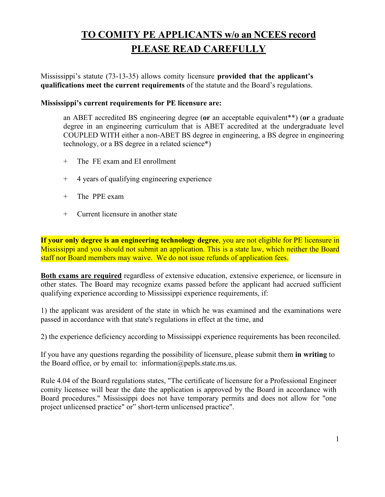# **TO COMITY PE APPLICANTS w/o an NCEES record PLEASE READ CAREFULLY**

Mississippi's statute (73-13-35) allows comity licensure **provided that the applicant's qualifications meet the current requirements** of the statute and the Board's regulations.

## **Mississippi's current requirements for PE licensure are:**

an ABET accredited BS engineering degree (**or** an acceptable equivalent\*\*) (**or** a graduate degree in an engineering curriculum that is ABET accredited at the undergraduate level COUPLED WITH either a non-ABET BS degree in engineering, a BS degree in engineering technology, or a BS degree in a related science\*)

- + The FE exam and EI enrollment
- + 4 years of qualifying engineering experience
- + The PPE exam
- + Current licensure in another state

**If your only degree is an engineering technology degree**, you are not eligible for PE licensure in Mississippi and you should not submit an application. This is a state law, which neither the Board staff nor Board members may waive. We do not issue refunds of application fees.

**Both exams are required** regardless of extensive education, extensive experience, or licensure in other states. The Board may recognize exams passed before the applicant had accrued sufficient qualifying experience according to Mississippi experience requirements, if:

1) the applicant was aresident of the state in which he was examined and the examinations were passed in accordance with that state's regulations in effect at the time, and

2) the experience deficiency according to Mississippi experience requirements has been reconciled.

If you have any questions regarding the possibility of licensure, please submit them **in writing** to the Board office, or by email to: [information@pepls.state.ms.us.](mailto:information@pepls.state.ms.us)

Rule 4.04 of the Board regulations states, "The certificate of licensure for a Professional Engineer comity licensee will bear the date the application is approved by the Board in accordance with Board procedures." Mississippi does not have temporary permits and does not allow for "one project unlicensed practice" or" short-term unlicensed practice".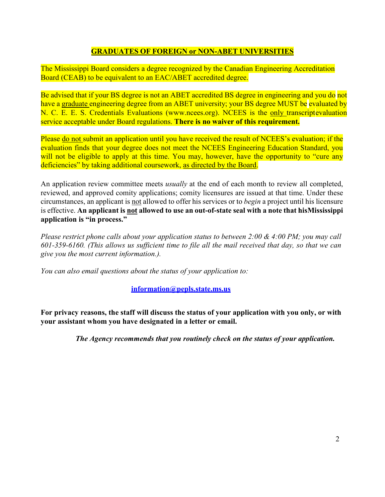# **GRADUATES OF FOREIGN or NON-ABET UNIVERSITIES**

The Mississippi Board considers a degree recognized by the Canadian Engineering Accreditation Board (CEAB) to be equivalent to an EAC/ABET accredited degree.

Be advised that if your BS degree is not an ABET accredited BS degree in engineering and you do not have a graduate engineering degree from an ABET university; your BS degree MUST be evaluated by N. C. E. E. S. Credentials Evaluations (www.ncees.org). NCEES is the only transcriptevaluation service acceptable under Board regulations. **There is no waiver of this requirement.**

Please do not submit an application until you have received the result of NCEES's evaluation; if the evaluation finds that your degree does not meet the NCEES Engineering Education Standard, you will not be eligible to apply at this time. You may, however, have the opportunity to "cure any deficiencies" by taking additional coursework, as directed by the Board.

An application review committee meets *usually* at the end of each month to review all completed, reviewed, and approved comity applications; comity licensures are issued at that time. Under these circumstances, an applicant is not allowed to offer his services or to *begin* a project until his licensure is effective. **An applicant is not allowed to use an out-of-state seal with a note that hisMississippi application is "in process."**

*Please restrict phone calls about your application status to between 2:00 & 4:00 PM; you may call 601-359-6160. (This allows us sufficient time to file all the mail received that day, so that we can give you the most current information.).*

*You can also email questions about the status of your application to:*

**[information@pepls.state.ms.us](mailto:information@pepls.state.ms.us)**

**For privacy reasons, the staff will discuss the status of your application with you only, or with your assistant whom you have designated in a letter or email.**

*The Agency recommends that you routinely check on the status of your application.*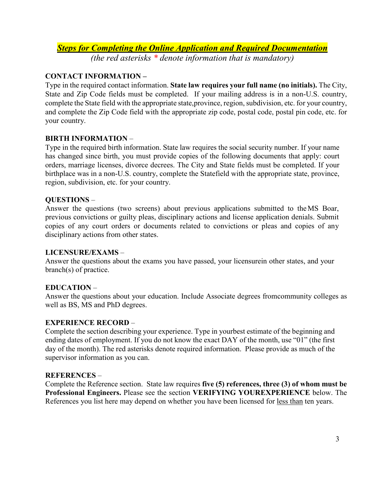# *Steps for Completing the Online Application and Required Documentation*

*(the red asterisks \* denote information that is mandatory)*

# **CONTACT INFORMATION –**

Type in the required contact information. **State law requires your full name (no initials).** The City, State and Zip Code fields must be completed. If your mailing address is in a non-U.S. country, complete the State field with the appropriate state,province, region, subdivision, etc. for your country, and complete the Zip Code field with the appropriate zip code, postal code, postal pin code, etc. for your country.

### **BIRTH INFORMATION** –

Type in the required birth information. State law requires the social security number. If your name has changed since birth, you must provide copies of the following documents that apply: court orders, marriage licenses, divorce decrees. The City and State fields must be completed. If your birthplace was in a non-U.S. country, complete the Statefield with the appropriate state, province, region, subdivision, etc. for your country.

### **QUESTIONS** –

Answer the questions (two screens) about previous applications submitted to theMS Boar, previous convictions or guilty pleas, disciplinary actions and license application denials. Submit copies of any court orders or documents related to convictions or pleas and copies of any disciplinary actions from other states.

#### **LICENSURE/EXAMS** –

Answer the questions about the exams you have passed, your licensurein other states, and your branch(s) of practice.

# **EDUCATION** –

Answer the questions about your education. Include Associate degrees fromcommunity colleges as well as BS, MS and PhD degrees.

#### **EXPERIENCE RECORD** –

Complete the section describing your experience. Type in yourbest estimate of the beginning and ending dates of employment. If you do not know the exact DAY of the month, use "01" (the first day of the month). The red asterisks denote required information. Please provide as much of the supervisor information as you can.

#### **REFERENCES** –

Complete the Reference section. State law requires **five (5) references, three (3) of whom must be Professional Engineers.** Please see the section **VERIFYING YOUREXPERIENCE** below. The References you list here may depend on whether you have been licensed for less than ten years.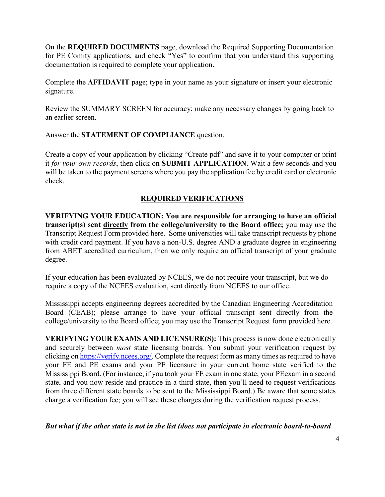On the **REQUIRED DOCUMENTS** page, download the Required Supporting Documentation for PE Comity applications, and check "Yes" to confirm that you understand this supporting documentation is required to complete your application.

Complete the **AFFIDAVIT** page; type in your name as your signature or insert your electronic signature.

Review the SUMMARY SCREEN for accuracy; make any necessary changes by going back to an earlier screen.

Answer the **STATEMENT OF COMPLIANCE** question.

Create a copy of your application by clicking "Create pdf" and save it to your computer or print it *for your own records*, then click on **SUBMIT APPLICATION**. Wait a few seconds and you will be taken to the payment screens where you pay the application fee by credit card or electronic check.

# **REQUIRED VERIFICATIONS**

**VERIFYING YOUR EDUCATION: You are responsible for arranging to have an official transcript(s) sent directly from the college/university to the Board office;** you may use the Transcript Request Form provided here. Some universities will take transcript requests by phone with credit card payment. If you have a non-U.S. degree AND a graduate degree in engineering from ABET accredited curriculum, then we only require an official transcript of your graduate degree.

If your education has been evaluated by NCEES, we do not require your transcript, but we do require a copy of the NCEES evaluation, sent directly from NCEES to our office.

Mississippi accepts engineering degrees accredited by the Canadian Engineering Accreditation Board (CEAB); please arrange to have your official transcript sent directly from the college/university to the Board office; you may use the Transcript Request form provided here.

**VERIFYING YOUR EXAMS AND LICENSURE(S):** This process is now done electronically and securely between *most* state licensing boards. You submit your verification request by clicking on https://verify.ncees.org/. Complete the request form as many times as required to have your FE and PE exams and your PE licensure in your current home state verified to the Mississippi Board. (For instance, if you took your FE exam in one state, your PEexam in a second state, and you now reside and practice in a third state, then you'll need to request verifications from three different state boards to be sent to the Mississippi Board.) Be aware that some states charge a verification fee; you will see these charges during the verification request process.

*But what if the other state is not in the list (does not participate in electronic board-to-board*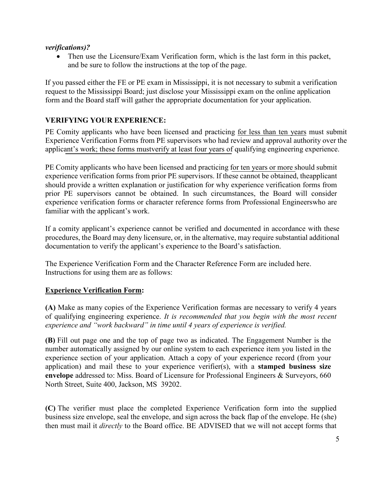#### *verifications)?*

• Then use the Licensure/Exam Verification form, which is the last form in this packet, and be sure to follow the instructions at the top of the page.

If you passed either the FE or PE exam in Mississippi, it is not necessary to submit a verification request to the Mississippi Board; just disclose your Mississippi exam on the online application form and the Board staff will gather the appropriate documentation for your application.

# **VERIFYING YOUR EXPERIENCE:**

PE Comity applicants who have been licensed and practicing for less than ten years must submit Experience Verification Forms from PE supervisors who had review and approval authority over the applicant's work; these forms mustverify at least four years of qualifying engineering experience.

PE Comity applicants who have been licensed and practicing for ten years or more should submit experience verification forms from prior PE supervisors. If these cannot be obtained, theapplicant should provide a written explanation or justification for why experience verification forms from prior PE supervisors cannot be obtained. In such circumstances, the Board will consider experience verification forms or character reference forms from Professional Engineerswho are familiar with the applicant's work.

If a comity applicant's experience cannot be verified and documented in accordance with these procedures, the Board may deny licensure, or, in the alternative, may require substantial additional documentation to verify the applicant's experience to the Board's satisfaction.

The Experience Verification Form and the Character Reference Form are included here. Instructions for using them are as follows:

# **Experience Verification Form:**

**(A)** Make as many copies of the Experience Verification formas are necessary to verify 4 years of qualifying engineering experience. *It is recommended that you begin with the most recent experience and "work backward" in time until 4 years of experience is verified.*

**(B)** Fill out page one and the top of page two as indicated. The Engagement Number is the number automatically assigned by our online system to each experience item you listed in the experience section of your application. Attach a copy of your experience record (from your application) and mail these to your experience verifier(s), with a **stamped business size envelope** addressed to: Miss. Board of Licensure for Professional Engineers & Surveyors, 660 North Street, Suite 400, Jackson, MS 39202.

**(C)** The verifier must place the completed Experience Verification form into the supplied business size envelope, seal the envelope, and sign across the back flap of the envelope. He (she) then must mail it *directly* to the Board office. BE ADVISED that we will not accept forms that